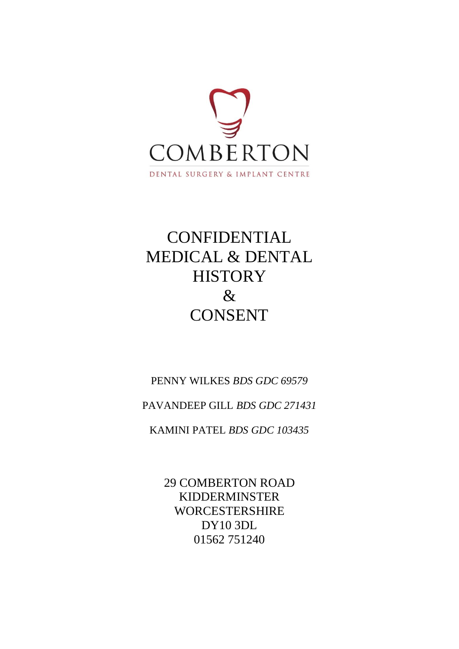

# **CONFIDENTIAL** MEDICAL & DENTAL **HISTORY** & **CONSENT**

PENNY WILKES *BDS GDC 69579*

PAVANDEEP GILL *BDS GDC 271431*

KAMINI PATEL *BDS GDC 103435*

29 COMBERTON ROAD KIDDERMINSTER WORCESTERSHIRE DY10 3DL 01562 751240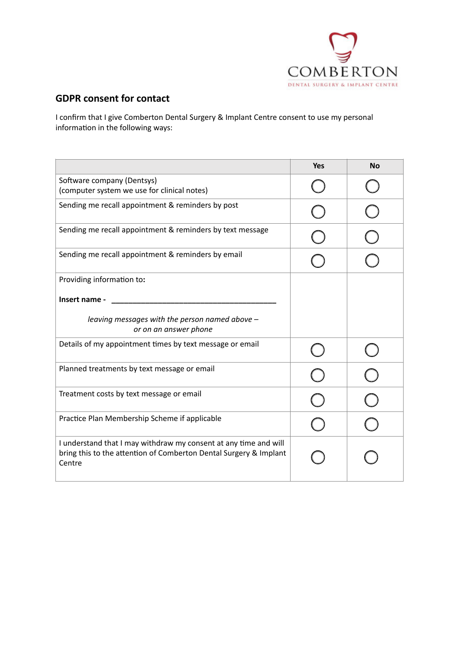

#### **GDPR consent for contact**

I confirm that I give Comberton Dental Surgery & Implant Centre consent to use my personal information in the following ways:

|                                                                                                                                                 | <b>Yes</b> | <b>No</b> |
|-------------------------------------------------------------------------------------------------------------------------------------------------|------------|-----------|
| Software company (Dentsys)<br>(computer system we use for clinical notes)                                                                       |            |           |
| Sending me recall appointment & reminders by post                                                                                               |            |           |
| Sending me recall appointment & reminders by text message                                                                                       |            |           |
| Sending me recall appointment & reminders by email                                                                                              |            |           |
| Providing information to:                                                                                                                       |            |           |
| Insert name -                                                                                                                                   |            |           |
| leaving messages with the person named above -<br>or on an answer phone                                                                         |            |           |
| Details of my appointment times by text message or email                                                                                        |            |           |
| Planned treatments by text message or email                                                                                                     |            |           |
| Treatment costs by text message or email                                                                                                        |            |           |
| Practice Plan Membership Scheme if applicable                                                                                                   |            |           |
| I understand that I may withdraw my consent at any time and will<br>bring this to the attention of Comberton Dental Surgery & Implant<br>Centre |            |           |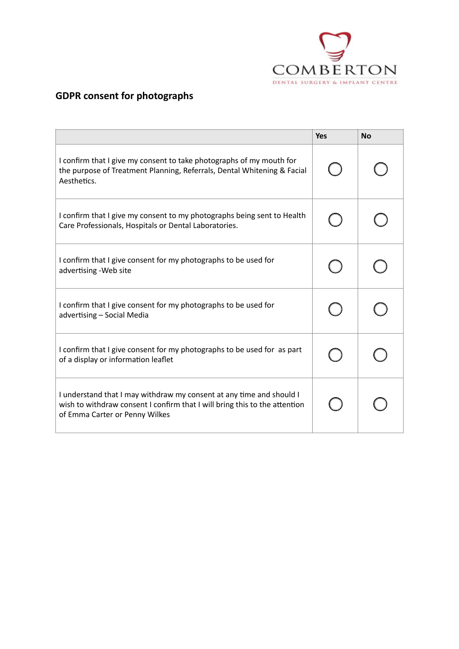

# **GDPR consent for photographs**

|                                                                                                                                                                                      | <b>Yes</b> | <b>No</b> |
|--------------------------------------------------------------------------------------------------------------------------------------------------------------------------------------|------------|-----------|
| I confirm that I give my consent to take photographs of my mouth for<br>the purpose of Treatment Planning, Referrals, Dental Whitening & Facial<br>Aesthetics.                       |            |           |
| I confirm that I give my consent to my photographs being sent to Health<br>Care Professionals, Hospitals or Dental Laboratories.                                                     |            |           |
| I confirm that I give consent for my photographs to be used for<br>advertising - Web site                                                                                            |            |           |
| I confirm that I give consent for my photographs to be used for<br>advertising - Social Media                                                                                        |            |           |
| I confirm that I give consent for my photographs to be used for as part<br>of a display or information leaflet                                                                       |            |           |
| I understand that I may withdraw my consent at any time and should I<br>wish to withdraw consent I confirm that I will bring this to the attention<br>of Emma Carter or Penny Wilkes |            |           |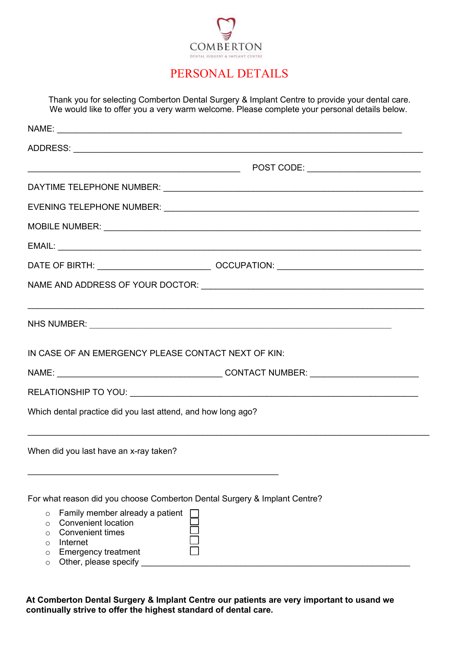

## PERSONAL DETAILS

Thank you for selecting Comberton Dental Surgery & Implant Centre to provide your dental care. We would like to offer you a very warm welcome. Please complete your personal details below.

| NHS NUMBER: NAME AND THE SERVICE SERVICE SERVICE SERVICE SERVICE SERVICE SERVICE SERVICE SERVICE SERVICE SERVICE SERVICE SERVICE SERVICE SERVICE SERVICE SERVICE SERVICE SERVICE SERVICE SERVICE SERVICE SERVICE SERVICE SERVI |  |
|--------------------------------------------------------------------------------------------------------------------------------------------------------------------------------------------------------------------------------|--|
| IN CASE OF AN EMERGENCY PLEASE CONTACT NEXT OF KIN:                                                                                                                                                                            |  |
|                                                                                                                                                                                                                                |  |
|                                                                                                                                                                                                                                |  |
| Which dental practice did you last attend, and how long ago?                                                                                                                                                                   |  |
| When did you last have an x-ray taken?                                                                                                                                                                                         |  |
| For what reason did you choose Comberton Dental Surgery & Implant Centre?<br>Family member already a patient<br>$\circ$                                                                                                        |  |
| <b>Convenient location</b><br>$\circ$                                                                                                                                                                                          |  |

- o Convenient times
- o Internet
- o Emergency treatment
- $\circ$  Other, please specify

**At Comberton Dental Surgery & Implant Centre our patients are very important to usand we continually strive to offer the highest standard of dental care.** 

目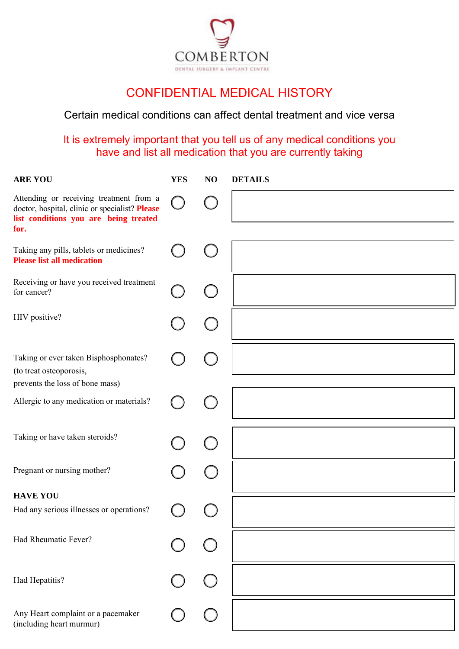

# CONFIDENTIAL MEDICAL HISTORY

#### Certain medical conditions can affect dental treatment and vice versa

### It is extremely important that you tell us of any medical conditions you have and list all medication that you are currently taking

| <b>ARE YOU</b>                                                                                                                             | <b>YES</b> | NO | <b>DETAILS</b> |
|--------------------------------------------------------------------------------------------------------------------------------------------|------------|----|----------------|
| Attending or receiving treatment from a<br>doctor, hospital, clinic or specialist? Please<br>list conditions you are being treated<br>for. |            |    |                |
| Taking any pills, tablets or medicines?<br><b>Please list all medication</b>                                                               |            |    |                |
| Receiving or have you received treatment<br>for cancer?                                                                                    |            |    |                |
| HIV positive?                                                                                                                              |            |    |                |
| Taking or ever taken Bisphosphonates?<br>(to treat osteoporosis,                                                                           |            |    |                |
| prevents the loss of bone mass)<br>Allergic to any medication or materials?                                                                |            |    |                |
| Taking or have taken steroids?                                                                                                             |            |    |                |
| Pregnant or nursing mother?                                                                                                                |            |    |                |
| <b>HAVE YOU</b>                                                                                                                            |            |    |                |
| Had any serious illnesses or operations?                                                                                                   |            |    |                |
| Had Rheumatic Fever?                                                                                                                       |            |    |                |
| Had Hepatitis?                                                                                                                             |            |    |                |
| Any Heart complaint or a pacemaker<br>(including heart murmur)                                                                             |            |    |                |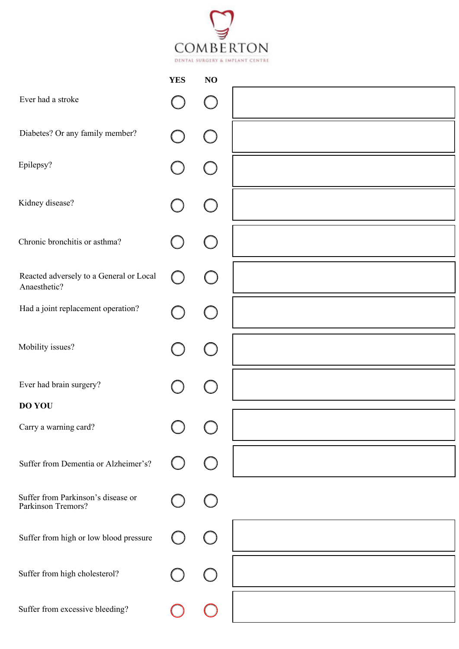

|                                                          | <b>YES</b> | N <sub>O</sub> |  |
|----------------------------------------------------------|------------|----------------|--|
| Ever had a stroke                                        |            |                |  |
| Diabetes? Or any family member?                          |            |                |  |
| Epilepsy?                                                |            |                |  |
| Kidney disease?                                          |            |                |  |
| Chronic bronchitis or asthma?                            |            |                |  |
| Reacted adversely to a General or Local<br>Anaesthetic?  |            |                |  |
| Had a joint replacement operation?                       |            |                |  |
| Mobility issues?                                         |            |                |  |
| Ever had brain surgery?                                  |            |                |  |
| <b>DO YOU</b>                                            |            |                |  |
| Carry a warning card?                                    |            |                |  |
| Suffer from Dementia or Alzheimer's?                     |            |                |  |
| Suffer from Parkinson's disease or<br>Parkinson Tremors? |            |                |  |
| Suffer from high or low blood pressure                   |            |                |  |
| Suffer from high cholesterol?                            |            |                |  |
| Suffer from excessive bleeding?                          |            |                |  |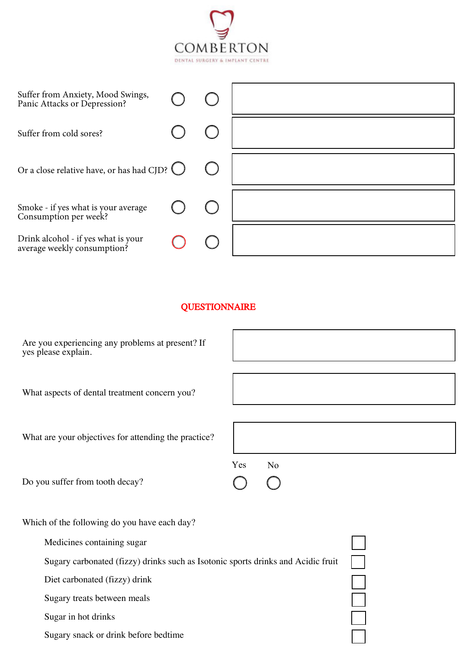

| Suffer from Anxiety, Mood Swings,<br>Panic Attacks or Depression?  |  |  |
|--------------------------------------------------------------------|--|--|
| Suffer from cold sores?                                            |  |  |
| Or a close relative have, or has had CJD? $\bigcirc$               |  |  |
| Smoke - if yes what is your average<br>Consumption per week?       |  |  |
| Drink alcohol - if yes what is your<br>average weekly consumption? |  |  |

#### **QUESTIONNAIRE**

| Are you experiencing any problems at present? If<br>yes please explain.          |                       |
|----------------------------------------------------------------------------------|-----------------------|
| What aspects of dental treatment concern you?                                    |                       |
| What are your objectives for attending the practice?                             |                       |
| Do you suffer from tooth decay?                                                  | Yes<br>N <sub>o</sub> |
| Which of the following do you have each day?                                     |                       |
| Medicines containing sugar                                                       |                       |
| Sugary carbonated (fizzy) drinks such as Isotonic sports drinks and Acidic fruit |                       |
| Diet carbonated (fizzy) drink                                                    |                       |
| Sugary treats between meals                                                      |                       |
| Sugar in hot drinks                                                              |                       |

Sugary snack or drink before bedtime